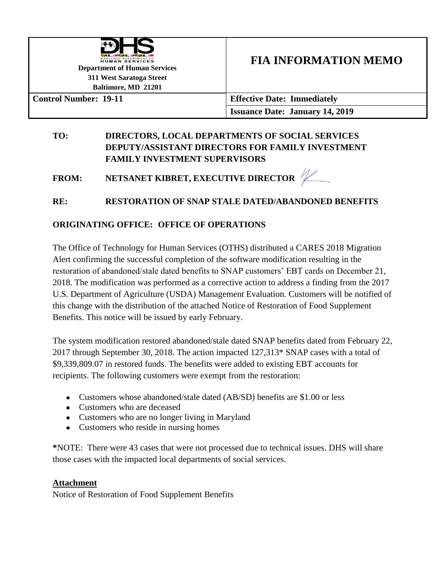

**FIA INFORMATION MEMO** 

**311 West Saratoga Street Baltimore, MD 21201**

**Control Number: 19-11 Effective Date: Immediately Issuance Date: January 14, 2019**

### **TO: DIRECTORS, LOCAL DEPARTMENTS OF SOCIAL SERVICES DEPUTY/ASSISTANT DIRECTORS FOR FAMILY INVESTMENT FAMILY INVESTMENT SUPERVISORS**

**FROM: NETSANET KIBRET, EXECUTIVE DIRECTOR** 

# **RE: RESTORATION OF SNAP STALE DATED/ABANDONED BENEFITS**

## **ORIGINATING OFFICE: OFFICE OF OPERATIONS**

The Office of Technology for Human Services (OTHS) distributed a CARES 2018 Migration Alert confirming the successful completion of the software modification resulting in the restoration of abandoned/stale dated benefits to SNAP customers' EBT cards on December 21, 2018. The modification was performed as a corrective action to address a finding from the 2017 U.S. Department of Agriculture (USDA) Management Evaluation. Customers will be notified of this change with the distribution of the attached Notice of Restoration of Food Supplement Benefits. This notice will be issued by early February.

The system modification restored abandoned/stale dated SNAP benefits dated from February 22, 2017 through September 30, 2018. The action impacted 127,313\* SNAP cases with a total of \$9,339,809.07 in restored funds. The benefits were added to existing EBT accounts for recipients. The following customers were exempt from the restoration:

- Customers whose abandoned/stale dated (AB/SD) benefits are \$1.00 or less
- Customers who are deceased
- Customers who are no longer living in Maryland
- Customers who reside in nursing homes

**\***NOTE: There were 43 cases that were not processed due to technical issues. DHS will share those cases with the impacted local departments of social services.

#### **Attachment**

Notice of Restoration of Food Supplement Benefits